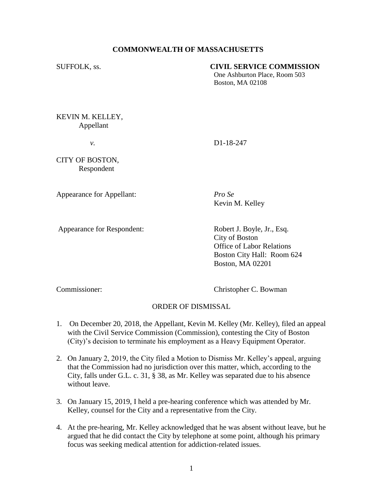# **COMMONWEALTH OF MASSACHUSETTS**

#### SUFFOLK, ss. **CIVIL SERVICE COMMISSION**

One Ashburton Place, Room 503 Boston, MA 02108

KEVIN M. KELLEY, Appellant

*v.* D1-18-247

CITY OF BOSTON, Respondent

Appearance for Appellant: *Pro Se*

Kevin M. Kelley

Appearance for Respondent: Robert J. Boyle, Jr., Esq.

City of Boston Office of Labor Relations Boston City Hall: Room 624 Boston, MA 02201

Commissioner: Christopher C. Bowman

### ORDER OF DISMISSAL

- 1. On December 20, 2018, the Appellant, Kevin M. Kelley (Mr. Kelley), filed an appeal with the Civil Service Commission (Commission), contesting the City of Boston (City)'s decision to terminate his employment as a Heavy Equipment Operator.
- 2. On January 2, 2019, the City filed a Motion to Dismiss Mr. Kelley's appeal, arguing that the Commission had no jurisdiction over this matter, which, according to the City, falls under G.L. c. 31, § 38, as Mr. Kelley was separated due to his absence without leave.
- 3. On January 15, 2019, I held a pre-hearing conference which was attended by Mr. Kelley, counsel for the City and a representative from the City.
- 4. At the pre-hearing, Mr. Kelley acknowledged that he was absent without leave, but he argued that he did contact the City by telephone at some point, although his primary focus was seeking medical attention for addiction-related issues.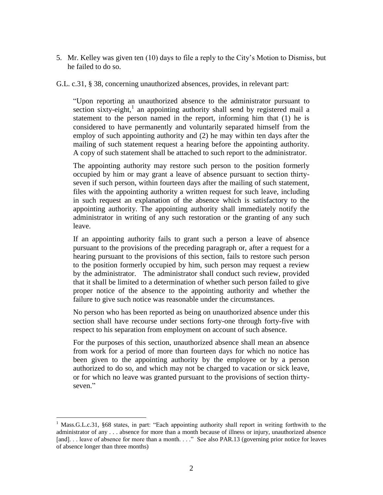5. Mr. Kelley was given ten (10) days to file a reply to the City's Motion to Dismiss, but he failed to do so.

G.L. c.31, § 38, concerning unauthorized absences, provides, in relevant part:

"Upon reporting an unauthorized absence to the administrator pursuant to section sixty-eight,<sup>1</sup> an appointing authority shall send by registered mail a statement to the person named in the report, informing him that (1) he is considered to have permanently and voluntarily separated himself from the employ of such appointing authority and (2) he may within ten days after the mailing of such statement request a hearing before the appointing authority. A copy of such statement shall be attached to such report to the administrator.

The appointing authority may restore such person to the position formerly occupied by him or may grant a leave of absence pursuant to section thirtyseven if such person, within fourteen days after the mailing of such statement, files with the appointing authority a written request for such leave, including in such request an explanation of the absence which is satisfactory to the appointing authority. The appointing authority shall immediately notify the administrator in writing of any such restoration or the granting of any such leave.

If an appointing authority fails to grant such a person a leave of absence pursuant to the provisions of the preceding paragraph or, after a request for a hearing pursuant to the provisions of this section, fails to restore such person to the position formerly occupied by him, such person may request a review by the administrator. The administrator shall conduct such review, provided that it shall be limited to a determination of whether such person failed to give proper notice of the absence to the appointing authority and whether the failure to give such notice was reasonable under the circumstances.

No person who has been reported as being on unauthorized absence under this section shall have recourse under sections forty-one through forty-five with respect to his separation from employment on account of such absence.

For the purposes of this section, unauthorized absence shall mean an absence from work for a period of more than fourteen days for which no notice has been given to the appointing authority by the employee or by a person authorized to do so, and which may not be charged to vacation or sick leave, or for which no leave was granted pursuant to the provisions of section thirtyseven."

 $\overline{a}$ 

<sup>&</sup>lt;sup>1</sup> Mass.G.L.c.31, §68 states, in part: "Each appointing authority shall report in writing forthwith to the administrator of any . . . absence for more than a month because of illness or injury, unauthorized absence [and]. . . leave of absence for more than a month. . . ." See also PAR.13 (governing prior notice for leaves of absence longer than three months)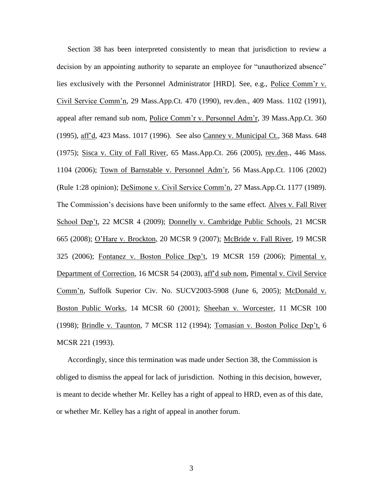Section 38 has been interpreted consistently to mean that jurisdiction to review a decision by an appointing authority to separate an employee for "unauthorized absence" lies exclusively with the Personnel Administrator [HRD]. See, e.g., Police Comm'r v. Civil Service Comm'n, 29 Mass.App.Ct. 470 (1990), rev.den., 409 Mass. 1102 (1991), appeal after remand sub nom, Police Comm'r v. Personnel Adm'r, 39 Mass.App.Ct. 360 (1995), aff'd, 423 Mass. 1017 (1996). See also Canney v. Municipal Ct., 368 Mass. 648 (1975); Sisca v. City of Fall River, 65 Mass.App.Ct. 266 (2005), rev.den., 446 Mass. 1104 (2006); Town of Barnstable v. Personnel Adm'r, 56 Mass.App.Ct. 1106 (2002) (Rule 1:28 opinion); DeSimone v. Civil Service Comm'n, 27 Mass.App.Ct. 1177 (1989). The Commission's decisions have been uniformly to the same effect. Alves v. Fall River School Dep't, 22 MCSR 4 (2009); Donnelly v. Cambridge Public Schools, 21 MCSR 665 (2008); O'Hare v. Brockton, 20 MCSR 9 (2007); McBride v. Fall River, 19 MCSR 325 (2006); Fontanez v. Boston Police Dep't, 19 MCSR 159 (2006); Pimental v. Department of Correction, 16 MCSR 54 (2003), aff'd sub nom, Pimental v. Civil Service Comm'n, Suffolk Superior Civ. No. SUCV2003-5908 (June 6, 2005); McDonald v. Boston Public Works, 14 MCSR 60 (2001); Sheehan v. Worcester, 11 MCSR 100 (1998); Brindle v. Taunton, 7 MCSR 112 (1994); Tomasian v. Boston Police Dep't, 6 MCSR 221 (1993).

Accordingly, since this termination was made under Section 38, the Commission is obliged to dismiss the appeal for lack of jurisdiction. Nothing in this decision, however, is meant to decide whether Mr. Kelley has a right of appeal to HRD, even as of this date, or whether Mr. Kelley has a right of appeal in another forum.